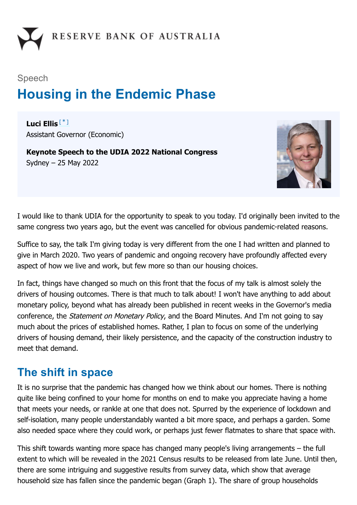# Speech **Housing in the Endemic Phase**

<span id="page-0-0"></span>**Luci Ellis** [\*]Assistant Governor (Economic)

**Keynote Speech to the UDIA 2022 National Congress** Sydney – 25 May 2022



I would like to thank UDIA for the opportunity to speak to you today. I'd originally been invited to the same congress two years ago, but the event was cancelled for obvious pandemic-related reasons.

Suffice to say, the talk I'm giving today is very different from the one I had written and planned to give in March 2020. Two years of pandemic and ongoing recovery have profoundly affected every aspect of how we live and work, but few more so than our housing choices.

In fact, things have changed so much on this front that the focus of my talk is almost solely the drivers of housing outcomes. There is that much to talk about! I won't have anything to add about monetary policy, beyond what has already been published in recent weeks in the Governor's media conference, the Statement on Monetary Policy, and the Board Minutes. And I'm not going to say much about the prices of established homes. Rather, I plan to focus on some of the underlying drivers of housing demand, their likely persistence, and the capacity of the construction industry to meet that demand.

# **The shift in space**

It is no surprise that the pandemic has changed how we think about our homes. There is nothing quite like being confined to your home for months on end to make you appreciate having a home that meets your needs, or rankle at one that does not. Spurred by the experience of lockdown and self-isolation, many people understandably wanted a bit more space, and perhaps a garden. Some also needed space where they could work, or perhaps just fewer flatmates to share that space with.

This shift towards wanting more space has changed many people's living arrangements – the full extent to which will be revealed in the 2021 Census results to be released from late June. Until then, there are some intriguing and suggestive results from survey data, which show that average household size has fallen since the pandemic began (Graph 1). The share of group households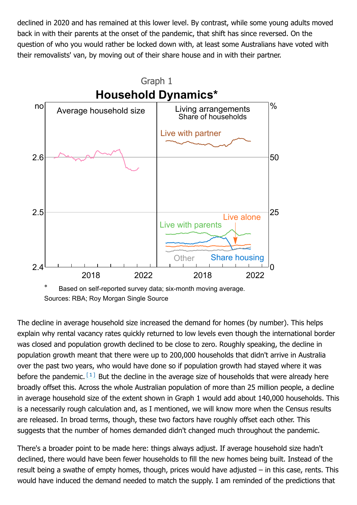declined in 2020 and has remained at this lower level. By contrast, while some young adults moved back in with their parents at the onset of the pandemic, that shift has since reversed. On the question of who you would rather be locked down with, at least some Australians have voted with their removalists' van, by moving out of their share house and in with their partner.



Sources: RBA; Roy Morgan Single Source

<span id="page-1-0"></span>The decline in average household size increased the demand for homes (by number). This helps explain why rental vacancy rates quickly returned to low levels even though the international border was closed and population growth declined to be close to zero. Roughly speaking, the decline in population growth meant that there were up to 200,000 households that didn't arrive in Australia over the past two years, who would have done so if population growth had stayed where it was before the pandemic.  $\left[1\right]$  But the decline in the average size of households that were already here broadly offset this. Across the whole Australian population of more than 25 million people, a decline in average household size of the extent shown in Graph 1 would add about 140,000 households. This is a necessarily rough calculation and, as I mentioned, we will know more when the Census results are released. In broad terms, though, these two factors have roughly offset each other. This suggests that the number of homes demanded didn't changed much throughout the pandemic.

There's a broader point to be made here: things always adjust. If average household size hadn't declined, there would have been fewer households to fill the new homes being built. Instead of the result being a swathe of empty homes, though, prices would have adjusted – in this case, rents. This would have induced the demand needed to match the supply. I am reminded of the predictions that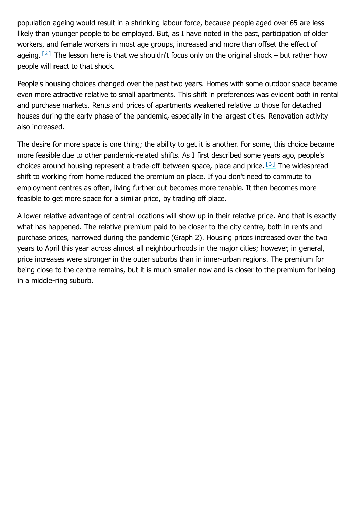population ageing would result in a shrinking labour force, because people aged over 65 are less likely than younger people to be employed. But, as I have noted in the past, participation of older workers, and female workers in most age groups, increased and more than offset the effect of ageing.  $[2]$  The lesson here is that we shouldn't focus only on the original shock – but rather how people will react to that shock.

<span id="page-2-0"></span>People's housing choices changed over the past two years. Homes with some outdoor space became even more attractive relative to small apartments. This shift in preferences was evident both in rental and purchase markets. Rents and prices of apartments weakened relative to those for detached houses during the early phase of the pandemic, especially in the largest cities. Renovation activity also increased.

<span id="page-2-1"></span>The desire for more space is one thing; the ability to get it is another. For some, this choice became more feasible due to other pandemic-related shifts. As I first described some years ago, people's choices around housing represent a trade-off between space, place and price.  $\left[^{3} \right]$  The widespread shift to working from home reduced the premium on place. If you don't need to commute to employment centres as often, living further out becomes more tenable. It then becomes more feasible to get more space for a similar price, by trading off place.

A lower relative advantage of central locations will show up in their relative price. And that is exactly what has happened. The relative premium paid to be closer to the city centre, both in rents and purchase prices, narrowed during the pandemic (Graph 2). Housing prices increased over the two years to April this year across almost all neighbourhoods in the major cities; however, in general, price increases were stronger in the outer suburbs than in inner-urban regions. The premium for being close to the centre remains, but it is much smaller now and is closer to the premium for being in a middle-ring suburb.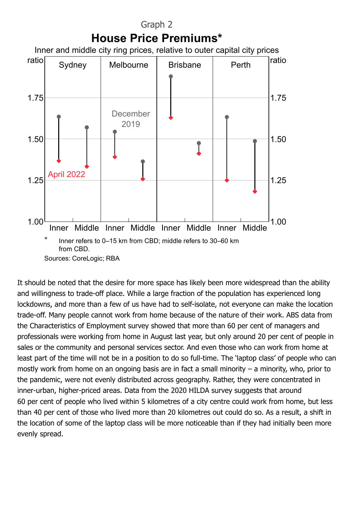

It should be noted that the desire for more space has likely been more widespread than the ability and willingness to trade-off place. While a large fraction of the population has experienced long lockdowns, and more than a few of us have had to self-isolate, not everyone can make the location trade-off. Many people cannot work from home because of the nature of their work. ABS data from the Characteristics of Employment survey showed that more than 60 per cent of managers and professionals were working from home in August last year, but only around 20 per cent of people in sales or the community and personal services sector. And even those who can work from home at least part of the time will not be in a position to do so full-time. The 'laptop class' of people who can mostly work from home on an ongoing basis are in fact a small minority – a minority, who, prior to the pandemic, were not evenly distributed across geography. Rather, they were concentrated in inner-urban, higher-priced areas. Data from the 2020 HILDA survey suggests that around 60 per cent of people who lived within 5 kilometres of a city centre could work from home, but less than 40 per cent of those who lived more than 20 kilometres out could do so. As a result, a shift in the location of some of the laptop class will be more noticeable than if they had initially been more evenly spread.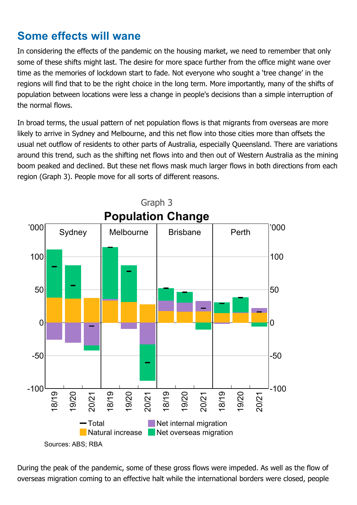# **Some effects will wane**

In considering the effects of the pandemic on the housing market, we need to remember that only some of these shifts might last. The desire for more space further from the office might wane over time as the memories of lockdown start to fade. Not everyone who sought a 'tree change' in the regions will find that to be the right choice in the long term. More importantly, many of the shifts of population between locations were less a change in people's decisions than a simple interruption of the normal flows.

In broad terms, the usual pattern of net population flows is that migrants from overseas are more likely to arrive in Sydney and Melbourne, and this net flow into those cities more than offsets the usual net outflow of residents to other parts of Australia, especially Queensland. There are variations around this trend, such as the shifting net flows into and then out of Western Australia as the mining boom peaked and declined. But these net flows mask much larger flows in both directions from each region (Graph 3). People move for all sorts of different reasons.



During the peak of the pandemic, some of these gross flows were impeded. As well as the flow of overseas migration coming to an effective halt while the international borders were closed, people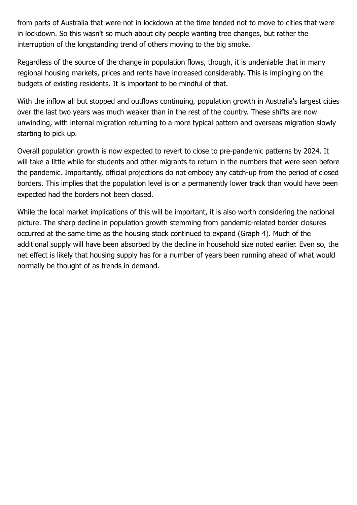from parts of Australia that were not in lockdown at the time tended not to move to cities that were in lockdown. So this wasn't so much about city people wanting tree changes, but rather the interruption of the longstanding trend of others moving to the big smoke.

Regardless of the source of the change in population flows, though, it is undeniable that in many regional housing markets, prices and rents have increased considerably. This is impinging on the budgets of existing residents. It is important to be mindful of that.

With the inflow all but stopped and outflows continuing, population growth in Australia's largest cities over the last two years was much weaker than in the rest of the country. These shifts are now unwinding, with internal migration returning to a more typical pattern and overseas migration slowly starting to pick up.

Overall population growth is now expected to revert to close to pre-pandemic patterns by 2024. It will take a little while for students and other migrants to return in the numbers that were seen before the pandemic. Importantly, official projections do not embody any catch-up from the period of closed borders. This implies that the population level is on a permanently lower track than would have been expected had the borders not been closed.

While the local market implications of this will be important, it is also worth considering the national picture. The sharp decline in population growth stemming from pandemic-related border closures occurred at the same time as the housing stock continued to expand (Graph 4). Much of the additional supply will have been absorbed by the decline in household size noted earlier. Even so, the net effect is likely that housing supply has for a number of years been running ahead of what would normally be thought of as trends in demand.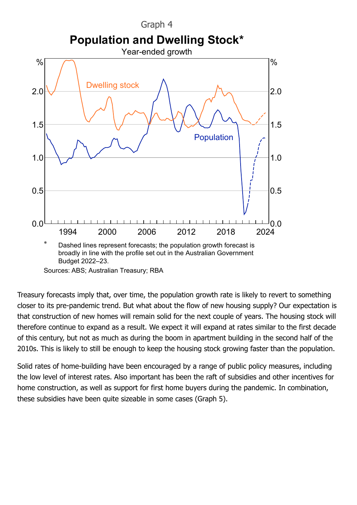

Treasury forecasts imply that, over time, the population growth rate is likely to revert to something closer to its pre-pandemic trend. But what about the flow of new housing supply? Our expectation is that construction of new homes will remain solid for the next couple of years. The housing stock will therefore continue to expand as a result. We expect it will expand at rates similar to the first decade of this century, but not as much as during the boom in apartment building in the second half of the 2010s. This is likely to still be enough to keep the housing stock growing faster than the population.

Solid rates of home-building have been encouraged by a range of public policy measures, including the low level of interest rates. Also important has been the raft of subsidies and other incentives for home construction, as well as support for first home buyers during the pandemic. In combination, these subsidies have been quite sizeable in some cases (Graph 5).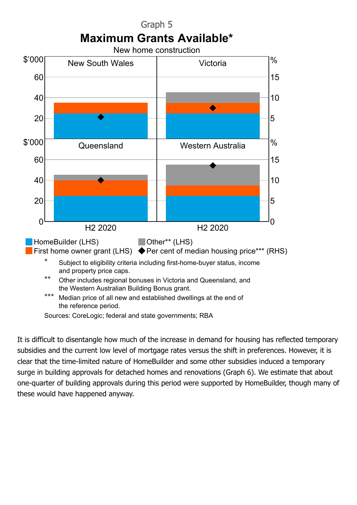

It is difficult to disentangle how much of the increase in demand for housing has reflected temporary subsidies and the current low level of mortgage rates versus the shift in preferences. However, it is clear that the time-limited nature of HomeBuilder and some other subsidies induced a temporary surge in building approvals for detached homes and renovations (Graph 6). We estimate that about one-quarter of building approvals during this period were supported by HomeBuilder, though many of these would have happened anyway.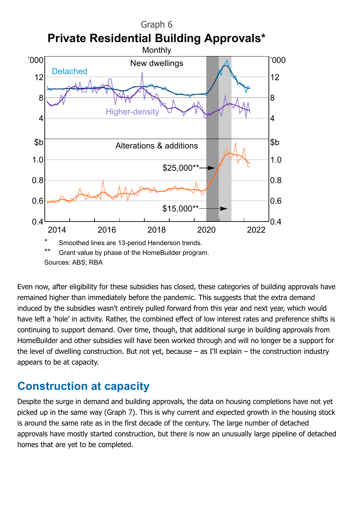

Even now, after eligibility for these subsidies has closed, these categories of building approvals have remained higher than immediately before the pandemic. This suggests that the extra demand induced by the subsidies wasn't entirely pulled forward from this year and next year, which would have left a 'hole' in activity. Rather, the combined effect of low interest rates and preference shifts is continuing to support demand. Over time, though, that additional surge in building approvals from HomeBuilder and other subsidies will have been worked through and will no longer be a support for the level of dwelling construction. But not yet, because – as I'll explain – the construction industry appears to be at capacity.

#### **Construction at capacity**

Despite the surge in demand and building approvals, the data on housing completions have not yet picked up in the same way (Graph 7). This is why current and expected growth in the housing stock is around the same rate as in the first decade of the century. The large number of detached approvals have mostly started construction, but there is now an unusually large pipeline of detached homes that are yet to be completed.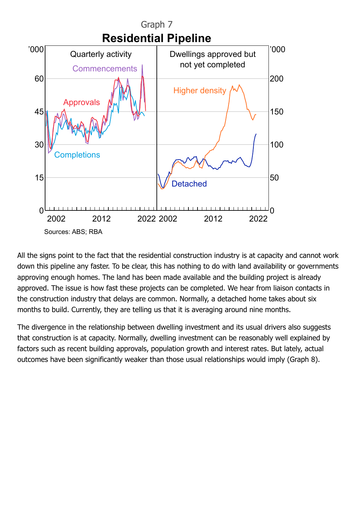

All the signs point to the fact that the residential construction industry is at capacity and cannot work down this pipeline any faster. To be clear, this has nothing to do with land availability or governments approving enough homes. The land has been made available and the building project is already approved. The issue is how fast these projects can be completed. We hear from liaison contacts in the construction industry that delays are common. Normally, a detached home takes about six months to build. Currently, they are telling us that it is averaging around nine months.

The divergence in the relationship between dwelling investment and its usual drivers also suggests that construction is at capacity. Normally, dwelling investment can be reasonably well explained by factors such as recent building approvals, population growth and interest rates. But lately, actual outcomes have been significantly weaker than those usual relationships would imply (Graph 8).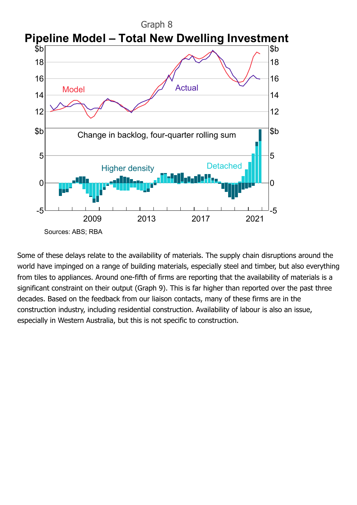

Some of these delays relate to the availability of materials. The supply chain disruptions around the world have impinged on a range of building materials, especially steel and timber, but also everything from tiles to appliances. Around one-fifth of firms are reporting that the availability of materials is a significant constraint on their output (Graph 9). This is far higher than reported over the past three decades. Based on the feedback from our liaison contacts, many of these firms are in the construction industry, including residential construction. Availability of labour is also an issue, especially in Western Australia, but this is not specific to construction.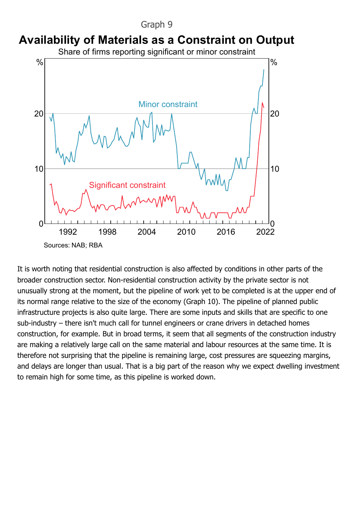

### **Availability of Materials as a Constraint on Output**

Share of firms reporting significant or minor constraint



It is worth noting that residential construction is also affected by conditions in other parts of the broader construction sector. Non-residential construction activity by the private sector is not unusually strong at the moment, but the pipeline of work yet to be completed is at the upper end of its normal range relative to the size of the economy (Graph 10). The pipeline of planned public infrastructure projects is also quite large. There are some inputs and skills that are specific to one sub-industry – there isn't much call for tunnel engineers or crane drivers in detached homes construction, for example. But in broad terms, it seem that all segments of the construction industry are making a relatively large call on the same material and labour resources at the same time. It is therefore not surprising that the pipeline is remaining large, cost pressures are squeezing margins, and delays are longer than usual. That is a big part of the reason why we expect dwelling investment to remain high for some time, as this pipeline is worked down.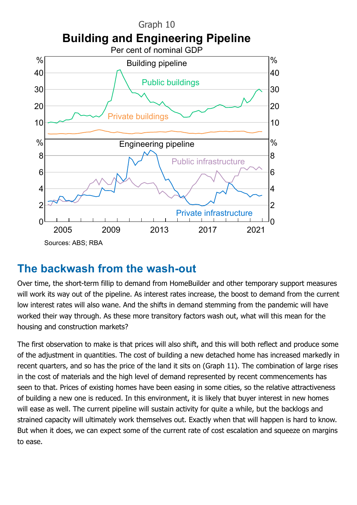

# **The backwash from the wash-out**

Over time, the short-term fillip to demand from HomeBuilder and other temporary support measures will work its way out of the pipeline. As interest rates increase, the boost to demand from the current low interest rates will also wane. And the shifts in demand stemming from the pandemic will have worked their way through. As these more transitory factors wash out, what will this mean for the housing and construction markets?

The first observation to make is that prices will also shift, and this will both reflect and produce some of the adjustment in quantities. The cost of building a new detached home has increased markedly in recent quarters, and so has the price of the land it sits on (Graph 11). The combination of large rises in the cost of materials and the high level of demand represented by recent commencements has seen to that. Prices of existing homes have been easing in some cities, so the relative attractiveness of building a new one is reduced. In this environment, it is likely that buyer interest in new homes will ease as well. The current pipeline will sustain activity for quite a while, but the backlogs and strained capacity will ultimately work themselves out. Exactly when that will happen is hard to know. But when it does, we can expect some of the current rate of cost escalation and squeeze on margins to ease.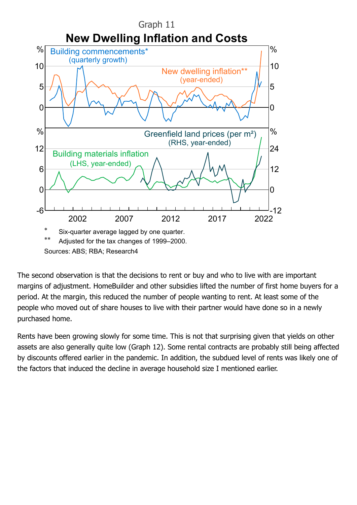

The second observation is that the decisions to rent or buy and who to live with are important margins of adjustment. HomeBuilder and other subsidies lifted the number of first home buyers for a period. At the margin, this reduced the number of people wanting to rent. At least some of the people who moved out of share houses to live with their partner would have done so in a newly purchased home.

Rents have been growing slowly for some time. This is not that surprising given that yields on other assets are also generally quite low (Graph 12). Some rental contracts are probably still being affected by discounts offered earlier in the pandemic. In addition, the subdued level of rents was likely one of the factors that induced the decline in average household size I mentioned earlier.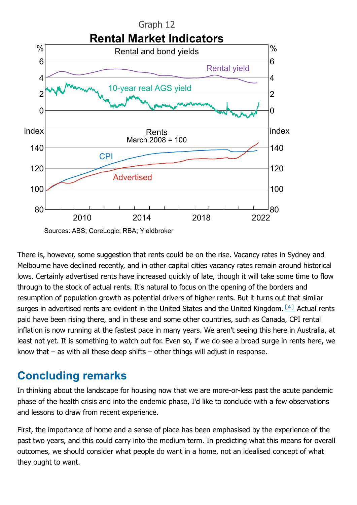

<span id="page-14-0"></span>

There is, however, some suggestion that rents could be on the rise. Vacancy rates in Sydney and Melbourne have declined recently, and in other capital cities vacancy rates remain around historical lows. Certainly advertised rents have increased quickly of late, though it will take some time to flow through to the stock of actual rents. It's natural to focus on the opening of the borders and resumption of population growth as potential drivers of higher rents. But it turns out that similar surges in advertised rents are evident in the United States and the United Kingdom.  $[4]$  Actual rents paid have been rising there, and in these and some other countries, such as Canada, CPI rental inflation is now running at the fastest pace in many years. We aren't seeing this here in Australia, at least not yet. It is something to watch out for. Even so, if we do see a broad surge in rents here, we know that – as with all these deep shifts – other things will adjust in response.

# **Concluding remarks**

In thinking about the landscape for housing now that we are more-or-less past the acute pandemic phase of the health crisis and into the endemic phase, I'd like to conclude with a few observations and lessons to draw from recent experience.

First, the importance of home and a sense of place has been emphasised by the experience of the past two years, and this could carry into the medium term. In predicting what this means for overall outcomes, we should consider what people do want in a home, not an idealised concept of what they ought to want.